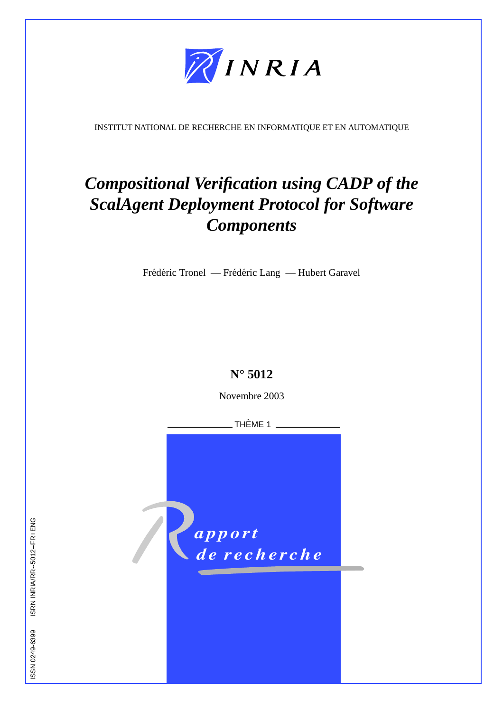

INSTITUT NATIONAL DE RECHERCHE EN INFORMATIQUE ET EN AUTOMATIQUE

# *Compositional Verification using CADP of the ScalAgent Deployment Protocol for Software Components*

Frédéric Tronel — Frédéric Lang — Hubert Garavel

## **N° 5012**

Novembre 2003

 $\_$ THÈME 1 $\_$ 

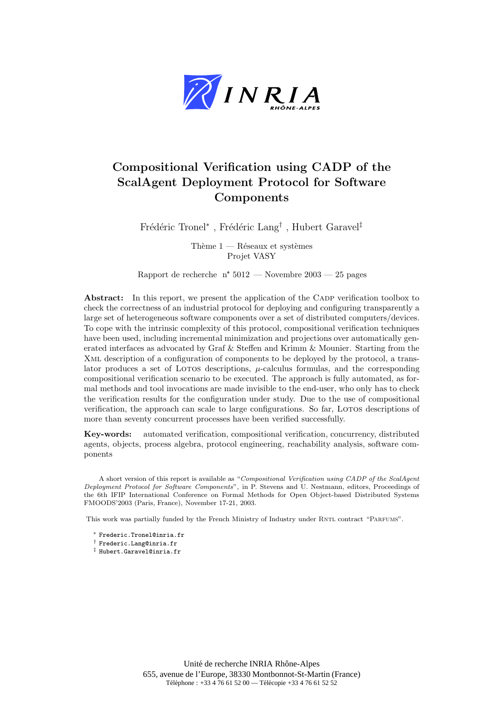

## Compositional Verification using CADP of the ScalAgent Deployment Protocol for Software Components

Frédéric Tronel<sup>∗</sup>, Frédéric Lang<sup>†</sup>, Hubert Garavel<sup>‡</sup>

Thème  $1 -$  Réseaux et systèmes Projet VASY

Rapport de recherche  $n^2 5012$  — Novembre 2003 — 25 pages

Abstract: In this report, we present the application of the CADP verification toolbox to check the correctness of an industrial protocol for deploying and configuring transparently a large set of heterogeneous software components over a set of distributed computers/devices. To cope with the intrinsic complexity of this protocol, compositional verification techniques have been used, including incremental minimization and projections over automatically generated interfaces as advocated by Graf & Steffen and Krimm & Mounier. Starting from the Xml description of a configuration of components to be deployed by the protocol, a translator produces a set of LOTOS descriptions,  $\mu$ -calculus formulas, and the corresponding compositional verification scenario to be executed. The approach is fully automated, as formal methods and tool invocations are made invisible to the end-user, who only has to check the verification results for the configuration under study. Due to the use of compositional verification, the approach can scale to large configurations. So far, LOTOS descriptions of more than seventy concurrent processes have been verified successfully.

Key-words: automated verification, compositional verification, concurrency, distributed agents, objects, process algebra, protocol engineering, reachability analysis, software components

A short version of this report is available as "Compositional Verification using CADP of the ScalAgent Deployment Protocol for Software Components", in P. Stevens and U. Nestmann, editors, Proceedings of the 6th IFIP International Conference on Formal Methods for Open Object-based Distributed Systems FMOODS'2003 (Paris, France), November 17-21, 2003.

This work was partially funded by the French Ministry of Industry under RNTL contract "PARFUMS".

- <sup>∗</sup> Frederic.Tronel@inria.fr
- † Frederic.Lang@inria.fr
- ‡ Hubert.Garavel@inria.fr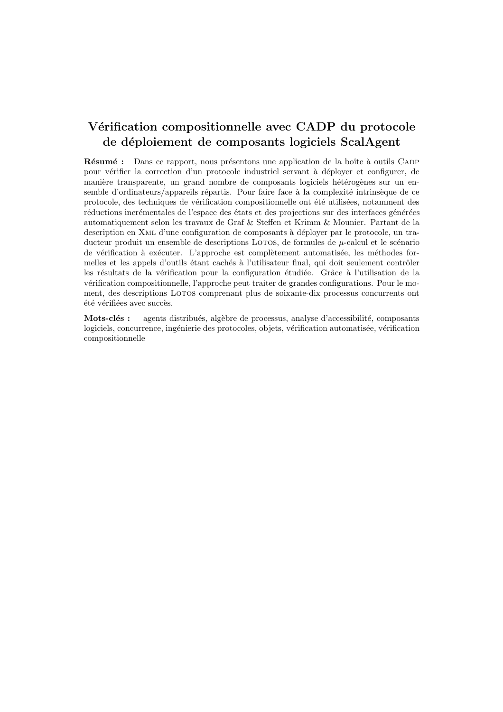## Vérification compositionnelle avec CADP du protocole de d´eploiement de composants logiciels ScalAgent

Résumé : Dans ce rapport, nous présentons une application de la boîte à outils CADP pour vérifier la correction d'un protocole industriel servant à déployer et configurer, de manière transparente, un grand nombre de composants logiciels hétérogènes sur un ensemble d'ordinateurs/appareils répartis. Pour faire face à la complexité intrinsèque de ce protocole, des techniques de vérification compositionnelle ont été utilisées, notamment des réductions incrémentales de l'espace des états et des projections sur des interfaces générées automatiquement selon les travaux de Graf & Steffen et Krimm & Mounier. Partant de la description en XML d'une configuration de composants à déployer par le protocole, un traducteur produit un ensemble de descriptions LOTOS, de formules de  $\mu$ -calcul et le scénario de vérification à exécuter. L'approche est complètement automatisée, les méthodes formelles et les appels d'outils étant cachés à l'utilisateur final, qui doit seulement contrôler les résultats de la vérification pour la configuration étudiée. Grâce à l'utilisation de la vérification compositionnelle, l'approche peut traiter de grandes configurations. Pour le moment, des descriptions LOTOS comprenant plus de soixante-dix processus concurrents ont été vérifiées avec succès.

Mots-clés : agents distribués, algèbre de processus, analyse d'accessibilité, composants logiciels, concurrence, ingénierie des protocoles, objets, vérification automatisée, vérification compositionnelle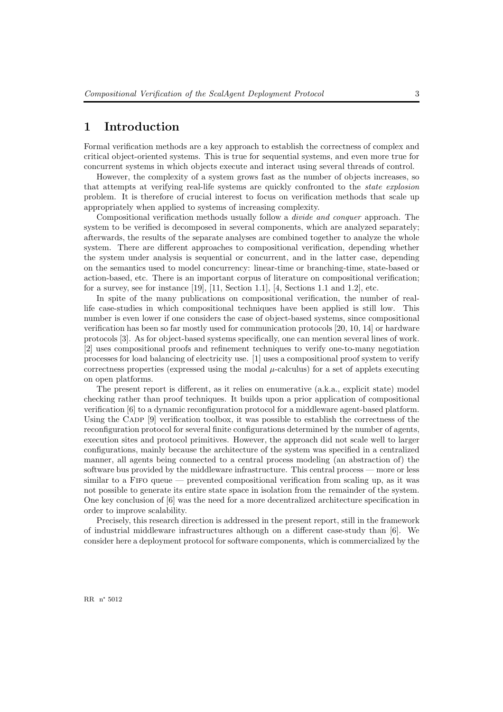## 1 Introduction

Formal verification methods are a key approach to establish the correctness of complex and critical object-oriented systems. This is true for sequential systems, and even more true for concurrent systems in which objects execute and interact using several threads of control.

However, the complexity of a system grows fast as the number of objects increases, so that attempts at verifying real-life systems are quickly confronted to the state explosion problem. It is therefore of crucial interest to focus on verification methods that scale up appropriately when applied to systems of increasing complexity.

Compositional verification methods usually follow a divide and conquer approach. The system to be verified is decomposed in several components, which are analyzed separately; afterwards, the results of the separate analyses are combined together to analyze the whole system. There are different approaches to compositional verification, depending whether the system under analysis is sequential or concurrent, and in the latter case, depending on the semantics used to model concurrency: linear-time or branching-time, state-based or action-based, etc. There is an important corpus of literature on compositional verification; for a survey, see for instance [19], [11, Section 1.1], [4, Sections 1.1 and 1.2], etc.

In spite of the many publications on compositional verification, the number of reallife case-studies in which compositional techniques have been applied is still low. This number is even lower if one considers the case of object-based systems, since compositional verification has been so far mostly used for communication protocols [20, 10, 14] or hardware protocols [3]. As for object-based systems specifically, one can mention several lines of work. [2] uses compositional proofs and refinement techniques to verify one-to-many negotiation processes for load balancing of electricity use. [1] uses a compositional proof system to verify correctness properties (expressed using the modal  $\mu$ -calculus) for a set of applets executing on open platforms.

The present report is different, as it relies on enumerative (a.k.a., explicit state) model checking rather than proof techniques. It builds upon a prior application of compositional verification [6] to a dynamic reconfiguration protocol for a middleware agent-based platform. Using the CADP [9] verification toolbox, it was possible to establish the correctness of the reconfiguration protocol for several finite configurations determined by the number of agents, execution sites and protocol primitives. However, the approach did not scale well to larger configurations, mainly because the architecture of the system was specified in a centralized manner, all agents being connected to a central process modeling (an abstraction of) the software bus provided by the middleware infrastructure. This central process — more or less similar to a FIFO queue — prevented compositional verification from scaling up, as it was not possible to generate its entire state space in isolation from the remainder of the system. One key conclusion of [6] was the need for a more decentralized architecture specification in order to improve scalability.

Precisely, this research direction is addressed in the present report, still in the framework of industrial middleware infrastructures although on a different case-study than [6]. We consider here a deployment protocol for software components, which is commercialized by the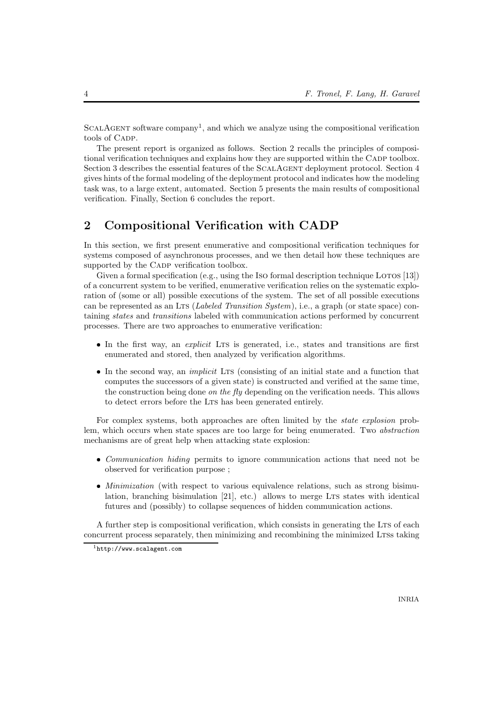$SCALAGENT$  software company<sup>1</sup>, and which we analyze using the compositional verification tools of CADP.

The present report is organized as follows. Section 2 recalls the principles of compositional verification techniques and explains how they are supported within the Cadp toolbox. Section 3 describes the essential features of the SCALAGENT deployment protocol. Section 4 gives hints of the formal modeling of the deployment protocol and indicates how the modeling task was, to a large extent, automated. Section 5 presents the main results of compositional verification. Finally, Section 6 concludes the report.

## 2 Compositional Verification with CADP

In this section, we first present enumerative and compositional verification techniques for systems composed of asynchronous processes, and we then detail how these techniques are supported by the CADP verification toolbox.

Given a formal specification (e.g., using the Iso formal description technique LOTOS [13]) of a concurrent system to be verified, enumerative verification relies on the systematic exploration of (some or all) possible executions of the system. The set of all possible executions can be represented as an LTS (*Labeled Transition System*), i.e., a graph (or state space) containing states and transitions labeled with communication actions performed by concurrent processes. There are two approaches to enumerative verification:

- In the first way, an *explicit* LTS is generated, i.e., states and transitions are first enumerated and stored, then analyzed by verification algorithms.
- In the second way, an *implicit* LTS (consisting of an initial state and a function that computes the successors of a given state) is constructed and verified at the same time, the construction being done on the  $fly$  depending on the verification needs. This allows to detect errors before the LTS has been generated entirely.

For complex systems, both approaches are often limited by the *state explosion* problem, which occurs when state spaces are too large for being enumerated. Two abstraction mechanisms are of great help when attacking state explosion:

- *Communication hiding* permits to ignore communication actions that need not be observed for verification purpose ;
- *Minimization* (with respect to various equivalence relations, such as strong bisimulation, branching bisimulation  $[21]$ , etc.) allows to merge LTs states with identical futures and (possibly) to collapse sequences of hidden communication actions.

A further step is compositional verification, which consists in generating the LTS of each concurrent process separately, then minimizing and recombining the minimized Ltss taking

<sup>1</sup>http://www.scalagent.com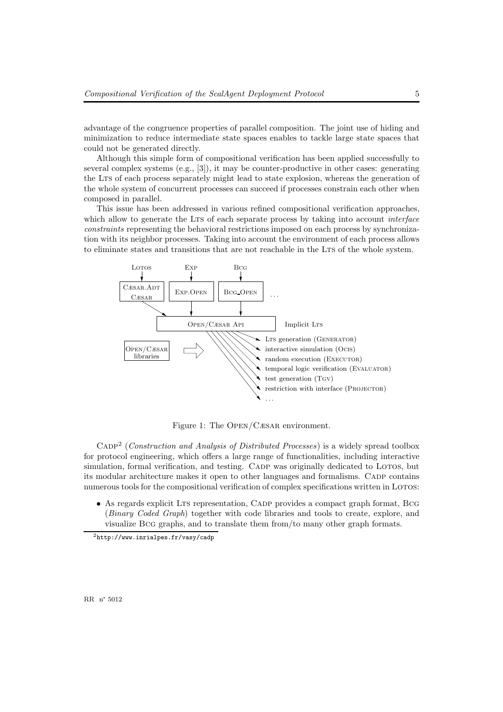advantage of the congruence properties of parallel composition. The joint use of hiding and minimization to reduce intermediate state spaces enables to tackle large state spaces that could not be generated directly.

Although this simple form of compositional verification has been applied successfully to several complex systems  $(e.g., [3])$ , it may be counter-productive in other cases: generating the Lts of each process separately might lead to state explosion, whereas the generation of the whole system of concurrent processes can succeed if processes constrain each other when composed in parallel.

This issue has been addressed in various refined compositional verification approaches, which allow to generate the LTS of each separate process by taking into account *interface* constraints representing the behavioral restrictions imposed on each process by synchronization with its neighbor processes. Taking into account the environment of each process allows to eliminate states and transitions that are not reachable in the Lts of the whole system.



Figure 1: The OPEN/CÆSAR environment.

CADP<sup>2</sup> (Construction and Analysis of Distributed Processes) is a widely spread toolbox for protocol engineering, which offers a large range of functionalities, including interactive simulation, formal verification, and testing. CADP was originally dedicated to LOTOS, but its modular architecture makes it open to other languages and formalisms. CADP contains numerous tools for the compositional verification of complex specifications written in LOTOS:

 As regards explicit Lts representation, Cadp provides a compact graph format, Bcg (Binary Coded Graph) together with code libraries and tools to create, explore, and visualize Bcg graphs, and to translate them from/to many other graph formats.

 $^{2}$ http://www.inrialpes.fr/vasy/cadp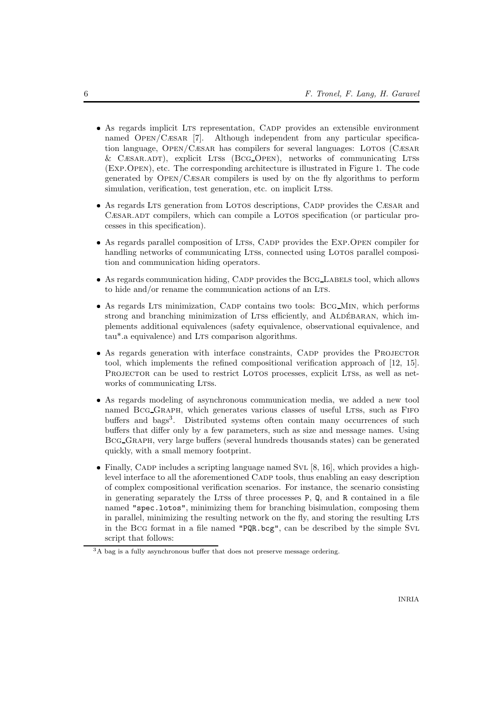- As regards implicit Lts representation, Cadp provides an extensible environment named Open/Cæsar [7]. Although independent from any particular specification language,  $\text{OPEN}/\text{C}$  ESAR has compilers for several languages: LOTOS (CESAR & CÆSAR.ADT), explicit LTSS (BCG\_OPEN), networks of communicating LTSS (Exp.Open), etc. The corresponding architecture is illustrated in Figure 1. The code generated by Open/Cæsar compilers is used by on the fly algorithms to perform simulation, verification, test generation, etc. on implicit LTSs.
- As regards LTS generation from LOTOS descriptions, CADP provides the CÆSAR and CÆSAR.ADT compilers, which can compile a LOTOS specification (or particular processes in this specification).
- As regards parallel composition of Ltss, Cadp provides the Exp.Open compiler for handling networks of communicating LTSs, connected using LOTOS parallel composition and communication hiding operators.
- As regards communication hiding, CADP provides the BCG\_LABELS tool, which allows to hide and/or rename the communication actions of an LTS.
- As regards Lts minimization, Cadp contains two tools: Bcg Min, which performs strong and branching minimization of LTSs efficiently, and ALDÉBARAN, which implements additional equivalences (safety equivalence, observational equivalence, and tau\*.a equivalence) and LTS comparison algorithms.
- As regards generation with interface constraints, CADP provides the PROJECTOR tool, which implements the refined compositional verification approach of [12, 15]. PROJECTOR can be used to restrict LOTOS processes, explicit LTSs, as well as networks of communicating LTSs.
- As regards modeling of asynchronous communication media, we added a new tool named BCG\_GRAPH, which generates various classes of useful LTSs, such as FIFO buffers and bags<sup>3</sup>. Distributed systems often contain many occurrences of such buffers that differ only by a few parameters, such as size and message names. Using Bcg Graph, very large buffers (several hundreds thousands states) can be generated quickly, with a small memory footprint.
- Finally, CADP includes a scripting language named SvL  $[8, 16]$ , which provides a highlevel interface to all the aforementioned Cadp tools, thus enabling an easy description of complex compositional verification scenarios. For instance, the scenario consisting in generating separately the LTSs of three processes  $P$ ,  $Q$ , and  $R$  contained in a file named "spec.lotos", minimizing them for branching bisimulation, composing them in parallel, minimizing the resulting network on the fly, and storing the resulting LTS in the BcG format in a file named "PQR.bcg", can be described by the simple SVL script that follows:

 $^3\mathrm{A}$  bag is a fully asynchronous buffer that does not preserve message ordering.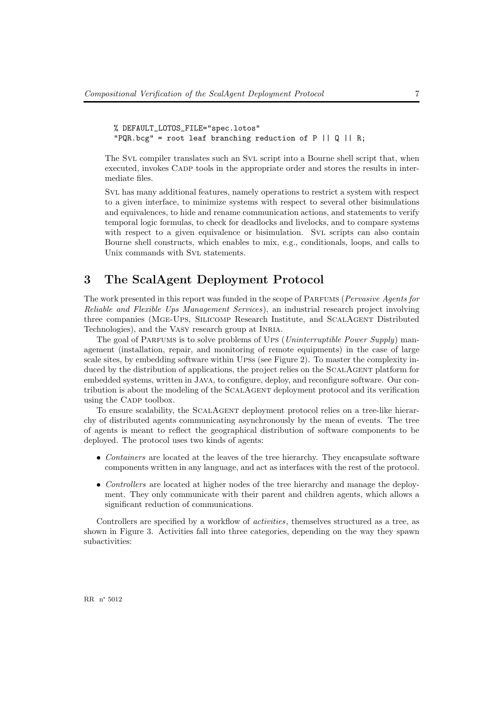```
% DEFAULT LOTOS FILE="spec.lotos"
"PQR.bcg" = root leaf branching reduction of P || Q || R;
```
The SvL compiler translates such an SvL script into a Bourne shell script that, when executed, invokes Cadp tools in the appropriate order and stores the results in intermediate files.

Svl has many additional features, namely operations to restrict a system with respect to a given interface, to minimize systems with respect to several other bisimulations and equivalences, to hide and rename communication actions, and statements to verify temporal logic formulas, to check for deadlocks and livelocks, and to compare systems with respect to a given equivalence or bisimulation. SVL scripts can also contain Bourne shell constructs, which enables to mix, e.g., conditionals, loops, and calls to Unix commands with SVL statements.

## 3 The ScalAgent Deployment Protocol

The work presented in this report was funded in the scope of PARFUMS (*Pervasive Agents for* Reliable and Flexible Ups Management Services), an industrial research project involving three companies (Mge-Ups, Silicomp Research Institute, and ScalAgent Distributed Technologies), and the Vasy research group at Inria.

The goal of PARFUMS is to solve problems of UPS (Uninterruptible Power Supply) management (installation, repair, and monitoring of remote equipments) in the case of large scale sites, by embedding software within Upss (see Figure 2). To master the complexity induced by the distribution of applications, the project relies on the SCALAGENT platform for embedded systems, written in Java, to configure, deploy, and reconfigure software. Our contribution is about the modeling of the ScalAgent deployment protocol and its verification using the CADP toolbox.

To ensure scalability, the ScalAgent deployment protocol relies on a tree-like hierarchy of distributed agents communicating asynchronously by the mean of events. The tree of agents is meant to reflect the geographical distribution of software components to be deployed. The protocol uses two kinds of agents:

- Containers are located at the leaves of the tree hierarchy. They encapsulate software components written in any language, and act as interfaces with the rest of the protocol.
- Controllers are located at higher nodes of the tree hierarchy and manage the deployment. They only communicate with their parent and children agents, which allows a significant reduction of communications.

Controllers are specified by a workflow of activities, themselves structured as a tree, as shown in Figure 3. Activities fall into three categories, depending on the way they spawn subactivities: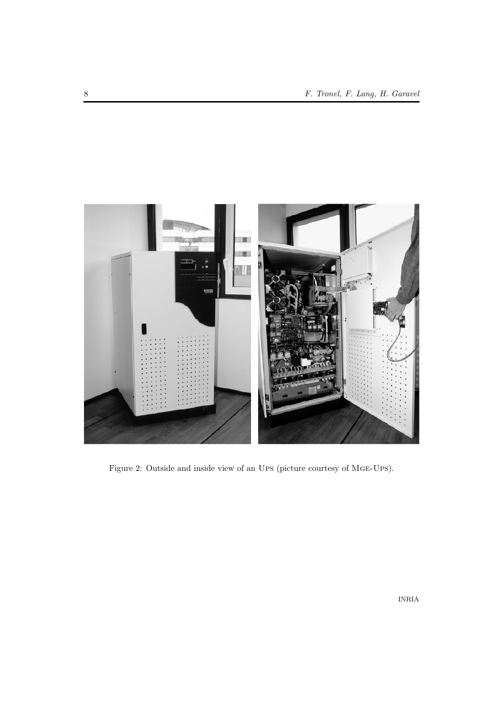

Figure 2: Outside and inside view of an UPS (picture courtesy of MGE-UPS).

INRIA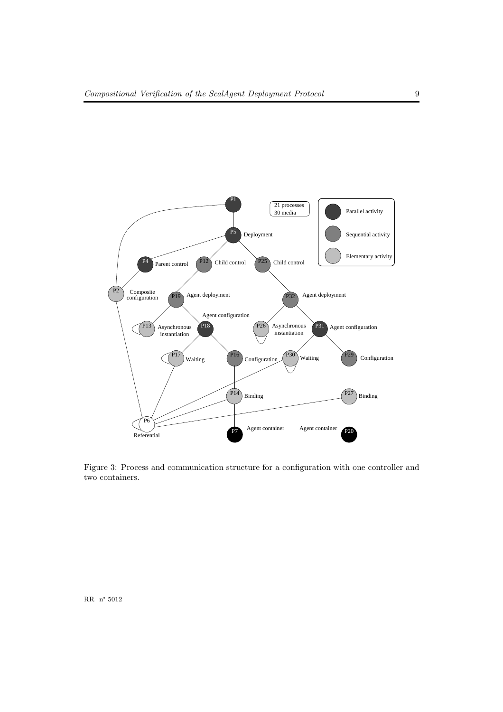

Figure 3: Process and communication structure for a configuration with one controller and two containers.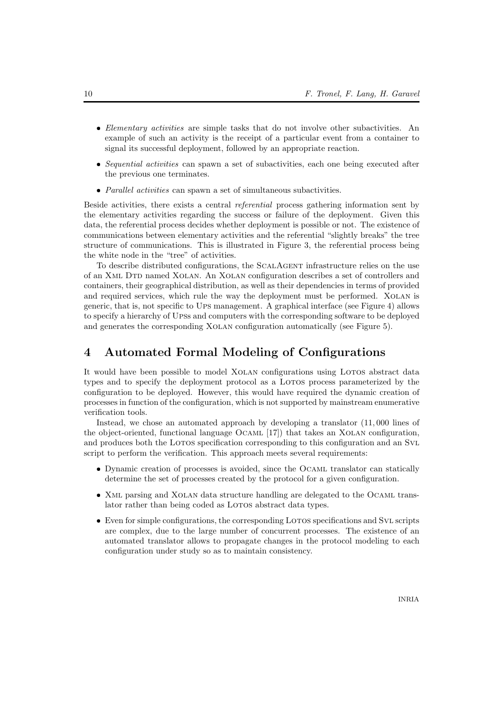- Elementary activities are simple tasks that do not involve other subactivities. An example of such an activity is the receipt of a particular event from a container to signal its successful deployment, followed by an appropriate reaction.
- Sequential activities can spawn a set of subactivities, each one being executed after the previous one terminates.
- *Parallel activities* can spawn a set of simultaneous subactivities.

Beside activities, there exists a central referential process gathering information sent by the elementary activities regarding the success or failure of the deployment. Given this data, the referential process decides whether deployment is possible or not. The existence of communications between elementary activities and the referential "slightly breaks" the tree structure of communications. This is illustrated in Figure 3, the referential process being the white node in the "tree" of activities.

To describe distributed configurations, the SCALAGENT infrastructure relies on the use of an Xml Dtd named Xolan. An Xolan configuration describes a set of controllers and containers, their geographical distribution, as well as their dependencies in terms of provided and required services, which rule the way the deployment must be performed. Xolan is generic, that is, not specific to Ups management. A graphical interface (see Figure 4) allows to specify a hierarchy of Upss and computers with the corresponding software to be deployed and generates the corresponding Xolan configuration automatically (see Figure 5).

## 4 Automated Formal Modeling of Configurations

It would have been possible to model XOLAN configurations using LOTOS abstract data types and to specify the deployment protocol as a LOTOS process parameterized by the configuration to be deployed. However, this would have required the dynamic creation of processes in function of the configuration, which is not supported by mainstream enumerative verification tools.

Instead, we chose an automated approach by developing a translator (11, 000 lines of the object-oriented, functional language Ocaml [17]) that takes an Xolan configuration, and produces both the LOTOS specification corresponding to this configuration and an SVL script to perform the verification. This approach meets several requirements:

- Dynamic creation of processes is avoided, since the Ocaml translator can statically determine the set of processes created by the protocol for a given configuration.
- Xml parsing and Xolan data structure handling are delegated to the Ocaml translator rather than being coded as LOTOS abstract data types.
- Even for simple configurations, the corresponding LOTOS specifications and SVL scripts are complex, due to the large number of concurrent processes. The existence of an automated translator allows to propagate changes in the protocol modeling to each configuration under study so as to maintain consistency.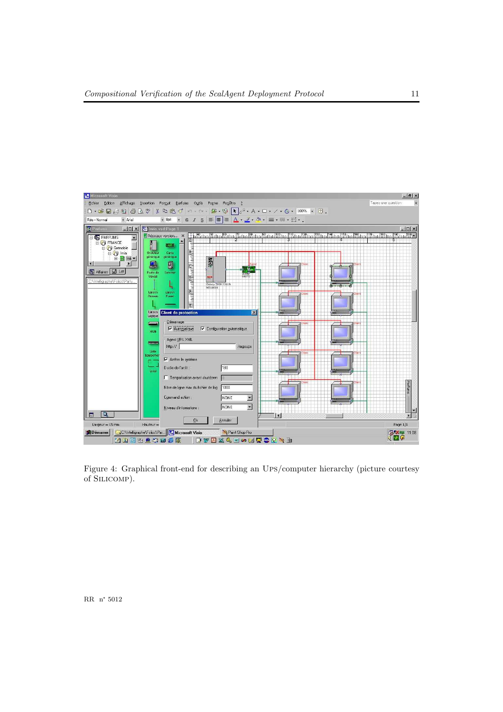

Figure 4: Graphical front-end for describing an Ups/computer hierarchy (picture courtesy of Silicomp).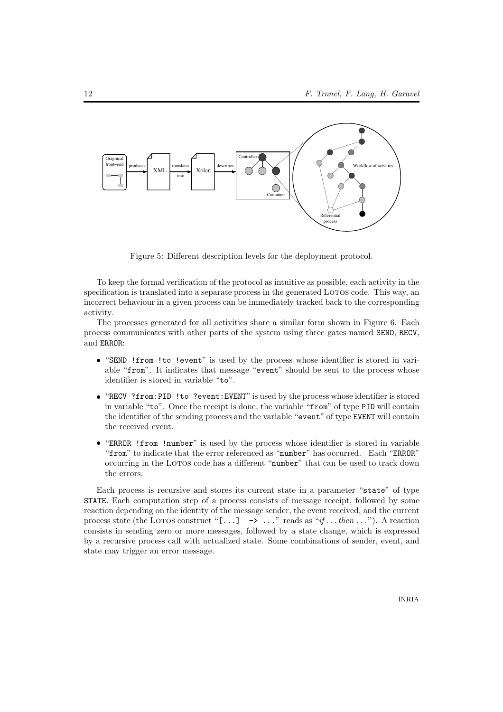

Figure 5: Different description levels for the deployment protocol.

To keep the formal verification of the protocol as intuitive as possible, each activity in the specification is translated into a separate process in the generated LOTOS code. This way, an incorrect behaviour in a given process can be immediately tracked back to the corresponding activity.

The processes generated for all activities share a similar form shown in Figure 6. Each process communicates with other parts of the system using three gates named SEND, RECV, and ERROR:

- "SEND !from !to !event" is used by the process whose identifier is stored in variable "from". It indicates that message "event" should be sent to the process whose identifier is stored in variable "to".
- "RECV ?from:PID !to ?event:EVENT" is used by the process whose identifier is stored in variable "to". Once the receipt is done, the variable "from" of type PID will contain the identifier of the sending process and the variable "event" of type EVENT will contain the received event.
- "ERROR !from !number" is used by the process whose identifier is stored in variable "from" to indicate that the error referenced as "number" has occurred. Each "ERROR" occurring in the LOTOS code has a different "number" that can be used to track down the errors.

Each process is recursive and stores its current state in a parameter "state" of type STATE. Each computation step of a process consists of message receipt, followed by some reaction depending on the identity of the message sender, the event received, and the current process state (the LOTOS construct "[...]  $\rightarrow \ldots$ " reads as "if ... then ..."). A reaction consists in sending zero or more messages, followed by a state change, which is expressed by a recursive process call with actualized state. Some combinations of sender, event, and state may trigger an error message.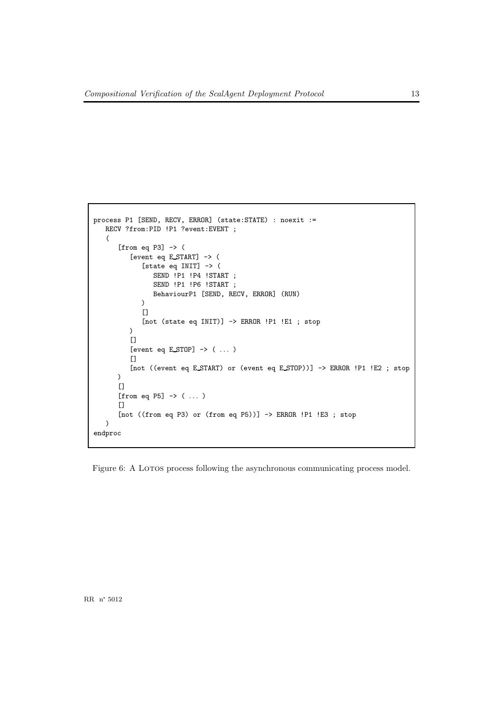```
process P1 [SEND, RECV, ERROR] (state:STATE) : noexit :=
   RECV ?from:PID !P1 ?event:EVENT ;
   (
      [from eq P3] \rightarrow ([event eq E START] -> (
             [state eq INIT] -> (
                SEND !P1 !P4 !START ;
                SEND !P1 !P6 !START ;
                BehaviourP1 [SEND, RECV, ERROR] (RUN)
             )
             [[not (state eq INIT)] -> ERROR !P1 !E1 ; stop
          \lambda\Box[event eq E STOP] \rightarrow (...)
          \Box[not ((event eq E_START) or (event eq E_STOP))] -> ERROR !P1 !E2 ; stop
      \lambda[[from eq P5] \rightarrow (...)
      \Box[not ((from eq P3) or (from eq P5))] -> ERROR !P1 !E3 ; stop
   )
endproc
```
Figure 6: A LOTOS process following the asynchronous communicating process model.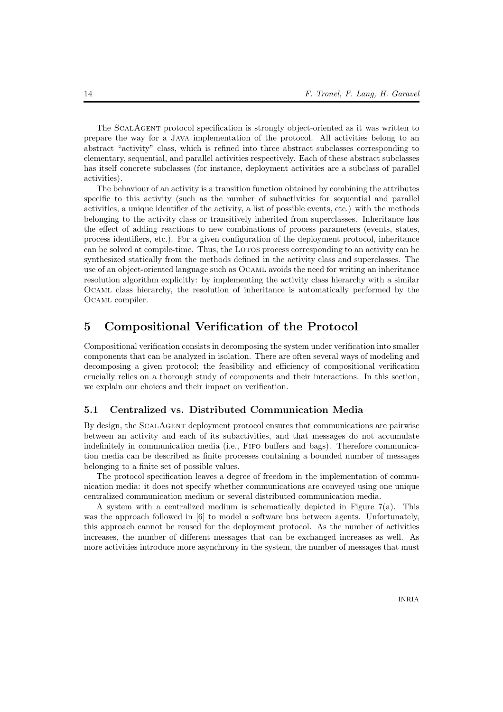The ScalAgent protocol specification is strongly object-oriented as it was written to prepare the way for a Java implementation of the protocol. All activities belong to an abstract "activity" class, which is refined into three abstract subclasses corresponding to elementary, sequential, and parallel activities respectively. Each of these abstract subclasses has itself concrete subclasses (for instance, deployment activities are a subclass of parallel activities).

The behaviour of an activity is a transition function obtained by combining the attributes specific to this activity (such as the number of subactivities for sequential and parallel activities, a unique identifier of the activity, a list of possible events, etc.) with the methods belonging to the activity class or transitively inherited from superclasses. Inheritance has the effect of adding reactions to new combinations of process parameters (events, states, process identifiers, etc.). For a given configuration of the deployment protocol, inheritance can be solved at compile-time. Thus, the LOTOS process corresponding to an activity can be synthesized statically from the methods defined in the activity class and superclasses. The use of an object-oriented language such as Ocaml avoids the need for writing an inheritance resolution algorithm explicitly: by implementing the activity class hierarchy with a similar Ocaml class hierarchy, the resolution of inheritance is automatically performed by the Ocaml compiler.

## 5 Compositional Verification of the Protocol

Compositional verification consists in decomposing the system under verification into smaller components that can be analyzed in isolation. There are often several ways of modeling and decomposing a given protocol; the feasibility and efficiency of compositional verification crucially relies on a thorough study of components and their interactions. In this section, we explain our choices and their impact on verification.

#### 5.1 Centralized vs. Distributed Communication Media

By design, the SCALAGENT deployment protocol ensures that communications are pairwise between an activity and each of its subactivities, and that messages do not accumulate indefinitely in communication media (i.e., Fifo buffers and bags). Therefore communication media can be described as finite processes containing a bounded number of messages belonging to a finite set of possible values.

The protocol specification leaves a degree of freedom in the implementation of communication media: it does not specify whether communications are conveyed using one unique centralized communication medium or several distributed communication media.

A system with a centralized medium is schematically depicted in Figure 7(a). This was the approach followed in [6] to model a software bus between agents. Unfortunately, this approach cannot be reused for the deployment protocol. As the number of activities increases, the number of different messages that can be exchanged increases as well. As more activities introduce more asynchrony in the system, the number of messages that must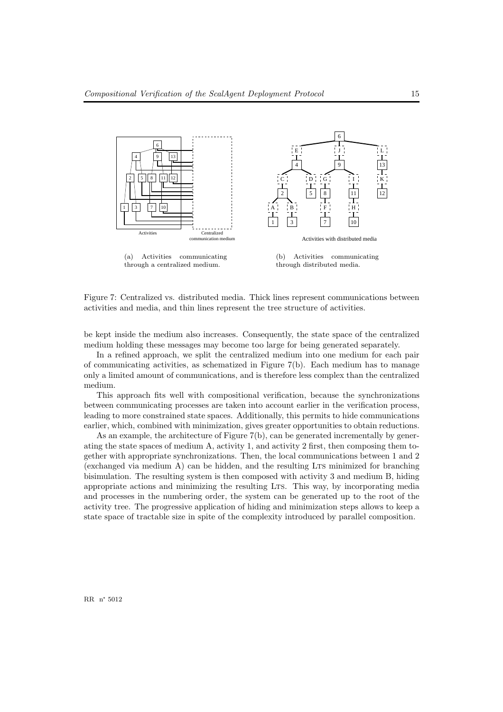

Figure 7: Centralized vs. distributed media. Thick lines represent communications between activities and media, and thin lines represent the tree structure of activities.

be kept inside the medium also increases. Consequently, the state space of the centralized medium holding these messages may become too large for being generated separately.

In a refined approach, we split the centralized medium into one medium for each pair of communicating activities, as schematized in Figure  $7(b)$ . Each medium has to manage only a limited amount of communications, and is therefore less complex than the centralized medium.

This approach fits well with compositional verification, because the synchronizations between communicating processes are taken into account earlier in the verification process, leading to more constrained state spaces. Additionally, this permits to hide communications earlier, which, combined with minimization, gives greater opportunities to obtain reductions.

As an example, the architecture of Figure 7(b), can be generated incrementally by generating the state spaces of medium A, activity 1, and activity 2 first, then composing them together with appropriate synchronizations. Then, the local communications between 1 and 2 (exchanged via medium A) can be hidden, and the resulting LTS minimized for branching bisimulation. The resulting system is then composed with activity 3 and medium B, hiding appropriate actions and minimizing the resulting Lts. This way, by incorporating media and processes in the numbering order, the system can be generated up to the root of the activity tree. The progressive application of hiding and minimization steps allows to keep a state space of tractable size in spite of the complexity introduced by parallel composition.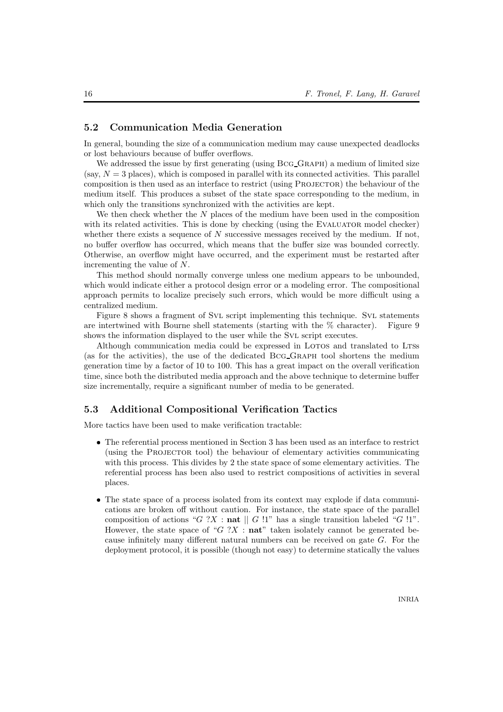#### 5.2 Communication Media Generation

In general, bounding the size of a communication medium may cause unexpected deadlocks or lost behaviours because of buffer overflows.

We addressed the issue by first generating (using BCG<sub>-GRAPH</sub>) a medium of limited size (say,  $N = 3$  places), which is composed in parallel with its connected activities. This parallel composition is then used as an interface to restrict (using PROJECTOR) the behaviour of the medium itself. This produces a subset of the state space corresponding to the medium, in which only the transitions synchronized with the activities are kept.

We then check whether the  $N$  places of the medium have been used in the composition with its related activities. This is done by checking (using the EVALUATOR model checker) whether there exists a sequence of  $N$  successive messages received by the medium. If not, no buffer overflow has occurred, which means that the buffer size was bounded correctly. Otherwise, an overflow might have occurred, and the experiment must be restarted after incrementing the value of N.

This method should normally converge unless one medium appears to be unbounded, which would indicate either a protocol design error or a modeling error. The compositional approach permits to localize precisely such errors, which would be more difficult using a centralized medium.

Figure 8 shows a fragment of SVL script implementing this technique. SVL statements are intertwined with Bourne shell statements (starting with the % character). Figure 9 shows the information displayed to the user while the SVL script executes.

Although communication media could be expressed in LOTOS and translated to LTSS (as for the activities), the use of the dedicated Bcg Graph tool shortens the medium generation time by a factor of 10 to 100. This has a great impact on the overall verification time, since both the distributed media approach and the above technique to determine buffer size incrementally, require a significant number of media to be generated.

#### 5.3 Additional Compositional Verification Tactics

More tactics have been used to make verification tractable:

- The referential process mentioned in Section 3 has been used as an interface to restrict (using the PROJECTOR tool) the behaviour of elementary activities communicating with this process. This divides by 2 the state space of some elementary activities. The referential process has been also used to restrict compositions of activities in several places.
- The state space of a process isolated from its context may explode if data communications are broken off without caution. For instance, the state space of the parallel composition of actions "G ?X : **nat**  $|| G ||$ " has a single transition labeled "G !1". However, the state space of " $G$ ? $X$ : nat" taken isolately cannot be generated because infinitely many different natural numbers can be received on gate  $G$ . For the deployment protocol, it is possible (though not easy) to determine statically the values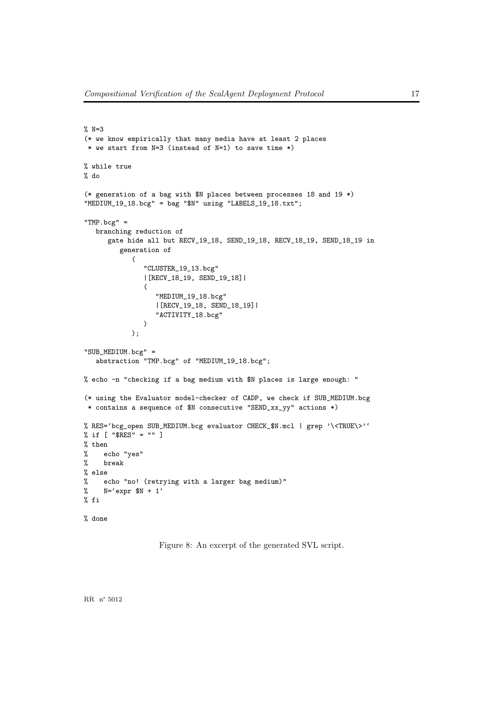```
% N=3
(* we know empirically that many media have at least 2 places
* we start from N=3 (instead of N=1) to save time *)
% while true
% do
(* generation of a bag with $N places between processes 18 and 19 *)
"MEDIUM_19_18.bcg" = bag "$N" using "LABELS_19_18.txt";
"TMP.bcg" =
   branching reduction of
      gate hide all but RECV_19_18, SEND_19_18, RECV_18_19, SEND_18_19 in
         generation of
            (
               "CLUSTER_19_13.bcg"
               |[RECV_18_19, SEND_19_18]|
               (
                  "MEDIUM_19_18.bcg"
                  |[RECV_19_18, SEND_18_19]|
                  "ACTIVITY_18.bcg"
               )
            );
"SUB_MEDIUM.bcg" =
   abstraction "TMP.bcg" of "MEDIUM_19_18.bcg";
% echo -n "checking if a bag medium with $N places is large enough: "
(* using the Evaluator model-checker of CADP, we check if SUB_MEDIUM.bcg
 * contains a sequence of $N consecutive "SEND_xx_yy" actions *)
% RES='bcg_open SUB_MEDIUM.bcg evaluator CHECK_$N.mcl | grep '\<TRUE\>''
% if \lceil "$RES" = "" ]
% then
% echo "yes"
% break
% else
% echo "no! (retrying with a larger bag medium)"
% N = 'expr \$N + 1'% fi
```

```
% done
```
Figure 8: An excerpt of the generated SVL script.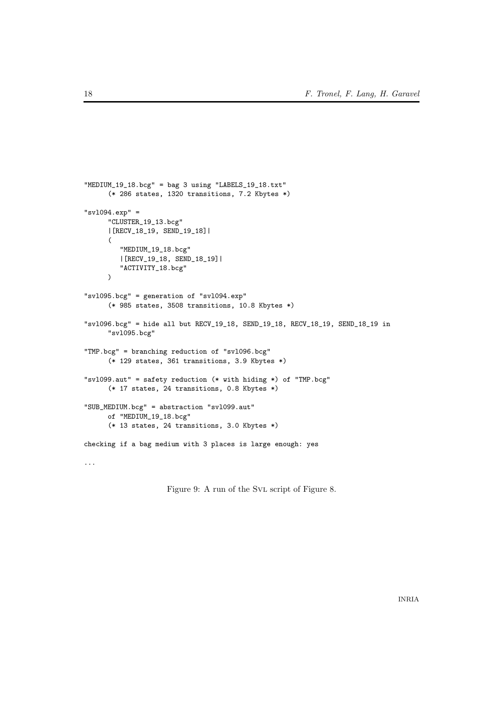```
"MEDIUM_19_18.bcg" = bag 3 using "LABELS_19_18.txt"
      (* 286 states, 1320 transitions, 7.2 Kbytes *)
"svl094.exp" =
      "CLUSTER_19_13.bcg"
      |[RECV_18_19, SEND_19_18]|
      (
         "MEDIUM_19_18.bcg"
         |[RECV_19_18, SEND_18_19]|
         "ACTIVITY_18.bcg"
      \lambda"svl095.bcg" = generation of "svl094.exp"
      (* 985 states, 3508 transitions, 10.8 Kbytes *)
"svl096.bcg" = hide all but RECV_19_18, SEND_19_18, RECV_18_19, SEND_18_19 in
      "svl095.bcg"
"TMP.bcg" = branching reduction of "svl096.bcg"
      (* 129 states, 361 transitions, 3.9 Kbytes *)
"svl099.aut" = safety reduction (* with hiding *) of "TMP.bcg"
      (* 17 states, 24 transitions, 0.8 Kbytes *)
"SUB_MEDIUM.bcg" = abstraction "svl099.aut"
      of "MEDIUM_19_18.bcg"
      (* 13 states, 24 transitions, 3.0 Kbytes *)
checking if a bag medium with 3 places is large enough: yes
...
```
Figure 9: A run of the SVL script of Figure 8.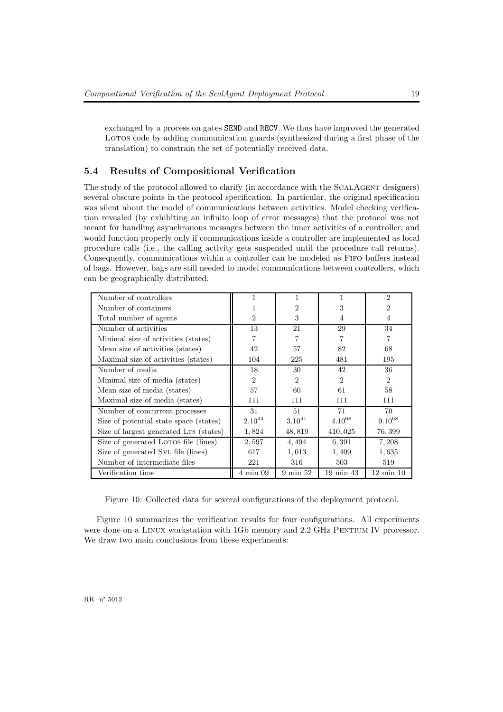exchanged by a process on gates SEND and RECV. We thus have improved the generated Lotos code by adding communication guards (synthesized during a first phase of the translation) to constrain the set of potentially received data.

#### 5.4 Results of Compositional Verification

The study of the protocol allowed to clarify (in accordance with the SCALAGENT designers) several obscure points in the protocol specification. In particular, the original specification was silent about the model of communications between activities. Model checking verification revealed (by exhibiting an infinite loop of error messages) that the protocol was not meant for handling asynchronous messages between the inner activities of a controller, and would function properly only if communications inside a controller are implemented as local procedure calls (i.e., the calling activity gets suspended until the procedure call returns). Consequently, communications within a controller can be modeled as Fifo buffers instead of bags. However, bags are still needed to model communications between controllers, which can be geographically distributed.

| Number of controllers                  | 1                   | 1              | 1                    | $\overline{2}$       |
|----------------------------------------|---------------------|----------------|----------------------|----------------------|
| Number of containers                   |                     | $\overline{2}$ | 3                    | $\overline{2}$       |
| Total number of agents                 | $\overline{2}$      | 3              | $\overline{4}$       | 4                    |
| Number of activities                   | 13                  | 21             | 29                   | 34                   |
| Minimal size of activities (states)    | 7                   | 7              | 7                    | 7                    |
| Mean size of activities (states)       | 42                  | 57             | 82                   | 68                   |
| Maximal size of activities (states)    | 104                 | 225            | 481                  | 195                  |
| Number of media                        | 18                  | 30             | 42                   | 36                   |
| Minimal size of media (states)         | $\overline{2}$      | $\overline{2}$ | $\overline{2}$       | $\overline{2}$       |
| Mean size of media (states)            | 57                  | 60             | 61                   | 58                   |
| Maximal size of media (states)         | 111                 | 111            | 111                  | 111                  |
| Number of concurrent processes         | 31                  | 51             | 71                   | 70                   |
| Size of potential state space (states) | $2.10^{24}$         | $3.10^{41}$    | $4.10^{68}$          | $9.10^{68}$          |
| Size of largest generated LTS (states) | 1,824               | 48,819         | 410,025              | 76,399               |
| Size of generated LOTOS file (lines)   | 2,597               | 4, 494         | 6,391                | 7, 208               |
| Size of generated SVL file (lines)     | 617                 | 1,013          | 1,409                | 1,635                |
| Number of intermediate files           | 221                 | 316            | 503                  | 519                  |
| Verification time                      | $4 \text{ min } 09$ | 9 min 52       | $19 \text{ min } 43$ | $12 \text{ min } 10$ |

Figure 10: Collected data for several configurations of the deployment protocol.

Figure 10 summarizes the verification results for four configurations. All experiments were done on a LINUX workstation with 1Gb memory and 2.2 GHz PENTIUM IV processor. We draw two main conclusions from these experiments: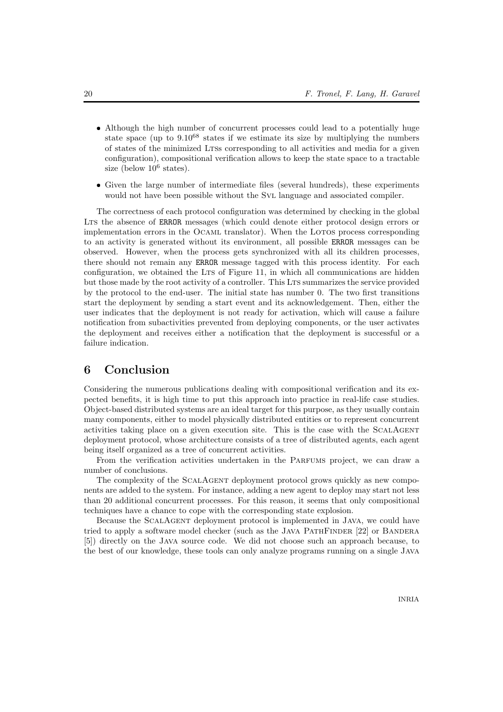- Although the high number of concurrent processes could lead to a potentially huge state space (up to  $9.10^{68}$  states if we estimate its size by multiplying the numbers of states of the minimized Ltss corresponding to all activities and media for a given configuration), compositional verification allows to keep the state space to a tractable size (below  $10^6$  states).
- Given the large number of intermediate files (several hundreds), these experiments would not have been possible without the SVL language and associated compiler.

The correctness of each protocol configuration was determined by checking in the global LTS the absence of ERROR messages (which could denote either protocol design errors or implementation errors in the OCAML translator). When the LOTOS process corresponding to an activity is generated without its environment, all possible ERROR messages can be observed. However, when the process gets synchronized with all its children processes, there should not remain any ERROR message tagged with this process identity. For each configuration, we obtained the Lts of Figure 11, in which all communications are hidden but those made by the root activity of a controller. This LTS summarizes the service provided by the protocol to the end-user. The initial state has number 0. The two first transitions start the deployment by sending a start event and its acknowledgement. Then, either the user indicates that the deployment is not ready for activation, which will cause a failure notification from subactivities prevented from deploying components, or the user activates the deployment and receives either a notification that the deployment is successful or a failure indication.

## 6 Conclusion

Considering the numerous publications dealing with compositional verification and its expected benefits, it is high time to put this approach into practice in real-life case studies. Object-based distributed systems are an ideal target for this purpose, as they usually contain many components, either to model physically distributed entities or to represent concurrent activities taking place on a given execution site. This is the case with the SCALAGENT deployment protocol, whose architecture consists of a tree of distributed agents, each agent being itself organized as a tree of concurrent activities.

From the verification activities undertaken in the Parfums project, we can draw a number of conclusions.

The complexity of the SCALAGENT deployment protocol grows quickly as new components are added to the system. For instance, adding a new agent to deploy may start not less than 20 additional concurrent processes. For this reason, it seems that only compositional techniques have a chance to cope with the corresponding state explosion.

Because the ScalAgent deployment protocol is implemented in Java, we could have tried to apply a software model checker (such as the JAVA PATHFINDER [22] or BANDERA [5]) directly on the Java source code. We did not choose such an approach because, to the best of our knowledge, these tools can only analyze programs running on a single Java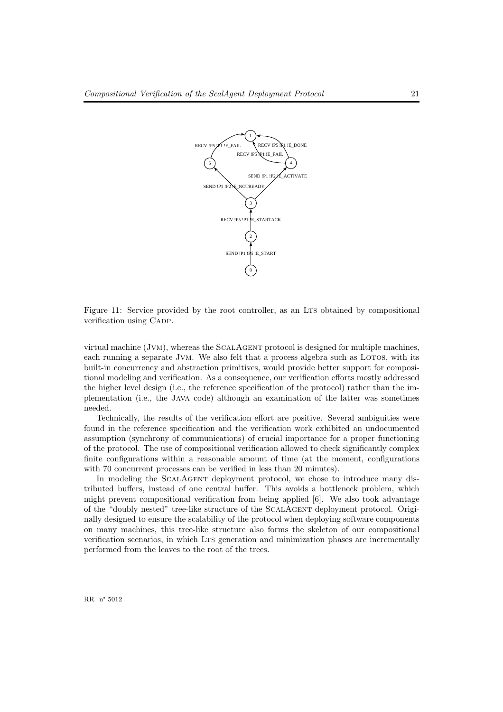

Figure 11: Service provided by the root controller, as an LTS obtained by compositional verification using CADP.

virtual machine (Jvm), whereas the ScalAgent protocol is designed for multiple machines, each running a separate JVM. We also felt that a process algebra such as LOTOS, with its built-in concurrency and abstraction primitives, would provide better support for compositional modeling and verification. As a consequence, our verification efforts mostly addressed the higher level design (i.e., the reference specification of the protocol) rather than the implementation (i.e., the Java code) although an examination of the latter was sometimes needed.

Technically, the results of the verification effort are positive. Several ambiguities were found in the reference specification and the verification work exhibited an undocumented assumption (synchrony of communications) of crucial importance for a proper functioning of the protocol. The use of compositional verification allowed to check significantly complex finite configurations within a reasonable amount of time (at the moment, configurations with 70 concurrent processes can be verified in less than 20 minutes).

In modeling the SCALAGENT deployment protocol, we chose to introduce many distributed buffers, instead of one central buffer. This avoids a bottleneck problem, which might prevent compositional verification from being applied [6]. We also took advantage of the "doubly nested" tree-like structure of the ScalAgent deployment protocol. Originally designed to ensure the scalability of the protocol when deploying software components on many machines, this tree-like structure also forms the skeleton of our compositional verification scenarios, in which Lts generation and minimization phases are incrementally performed from the leaves to the root of the trees.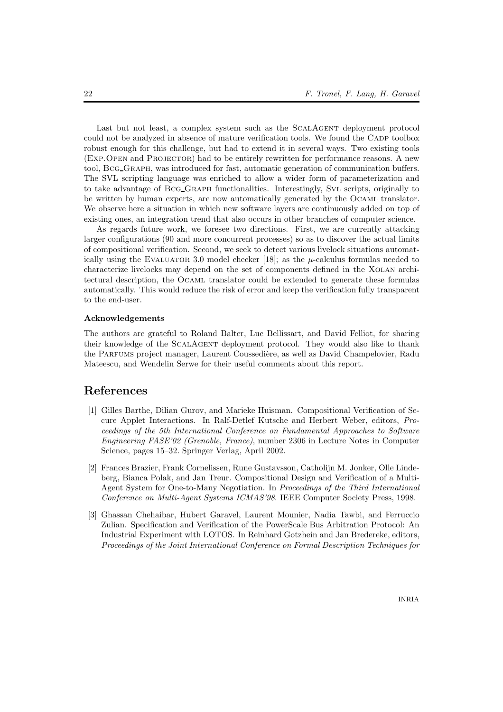Last but not least, a complex system such as the SCALAGENT deployment protocol could not be analyzed in absence of mature verification tools. We found the CADP toolbox robust enough for this challenge, but had to extend it in several ways. Two existing tools (Exp.Open and Projector) had to be entirely rewritten for performance reasons. A new tool, Bcg Graph, was introduced for fast, automatic generation of communication buffers. The SVL scripting language was enriched to allow a wider form of parameterization and to take advantage of BCG\_GRAPH functionalities. Interestingly, SvL scripts, originally to be written by human experts, are now automatically generated by the Ocaml translator. We observe here a situation in which new software layers are continuously added on top of existing ones, an integration trend that also occurs in other branches of computer science.

As regards future work, we foresee two directions. First, we are currently attacking larger configurations (90 and more concurrent processes) so as to discover the actual limits of compositional verification. Second, we seek to detect various livelock situations automatically using the EVALUATOR 3.0 model checker [18]; as the  $\mu$ -calculus formulas needed to characterize livelocks may depend on the set of components defined in the Xolan architectural description, the Ocaml translator could be extended to generate these formulas automatically. This would reduce the risk of error and keep the verification fully transparent to the end-user.

#### Acknowledgements

The authors are grateful to Roland Balter, Luc Bellissart, and David Felliot, for sharing their knowledge of the SCALAGENT deployment protocol. They would also like to thank the PARFUMS project manager, Laurent Coussedière, as well as David Champelovier, Radu Mateescu, and Wendelin Serwe for their useful comments about this report.

### References

- [1] Gilles Barthe, Dilian Gurov, and Marieke Huisman. Compositional Verification of Secure Applet Interactions. In Ralf-Detlef Kutsche and Herbert Weber, editors, Proceedings of the 5th International Conference on Fundamental Approaches to Software Engineering FASE'02 (Grenoble, France), number 2306 in Lecture Notes in Computer Science, pages 15–32. Springer Verlag, April 2002.
- [2] Frances Brazier, Frank Cornelissen, Rune Gustavsson, Catholijn M. Jonker, Olle Lindeberg, Bianca Polak, and Jan Treur. Compositional Design and Verification of a Multi-Agent System for One-to-Many Negotiation. In Proceedings of the Third International Conference on Multi-Agent Systems ICMAS'98. IEEE Computer Society Press, 1998.
- [3] Ghassan Chehaibar, Hubert Garavel, Laurent Mounier, Nadia Tawbi, and Ferruccio Zulian. Specification and Verification of the PowerScale Bus Arbitration Protocol: An Industrial Experiment with LOTOS. In Reinhard Gotzhein and Jan Bredereke, editors, Proceedings of the Joint International Conference on Formal Description Techniques for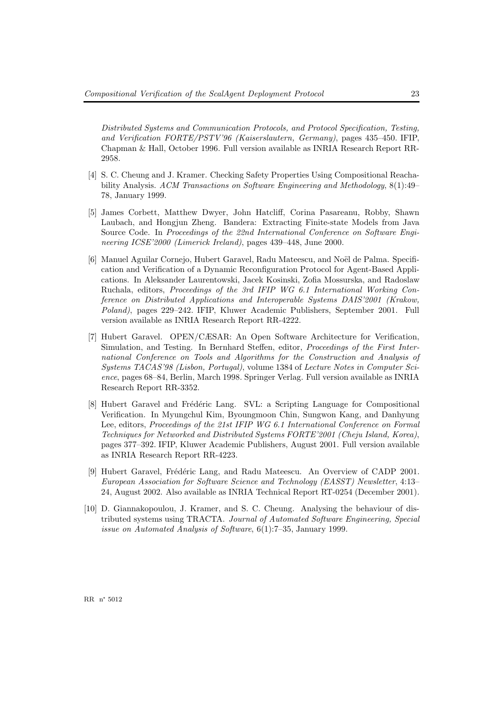Distributed Systems and Communication Protocols, and Protocol Specification, Testing, and Verification FORTE/PSTV'96 (Kaiserslautern, Germany), pages 435–450. IFIP, Chapman & Hall, October 1996. Full version available as INRIA Research Report RR-2958.

- [4] S. C. Cheung and J. Kramer. Checking Safety Properties Using Compositional Reachability Analysis. ACM Transactions on Software Engineering and Methodology, 8(1):49– 78, January 1999.
- [5] James Corbett, Matthew Dwyer, John Hatcliff, Corina Pasareanu, Robby, Shawn Laubach, and Hongjun Zheng. Bandera: Extracting Finite-state Models from Java Source Code. In Proceedings of the 22nd International Conference on Software Engineering ICSE'2000 (Limerick Ireland), pages 439–448, June 2000.
- [6] Manuel Aguilar Cornejo, Hubert Garavel, Radu Mateescu, and Noël de Palma. Specification and Verification of a Dynamic Reconfiguration Protocol for Agent-Based Applications. In Aleksander Laurentowski, Jacek Kosinski, Zofia Mossurska, and Radoslaw Ruchala, editors, Proceedings of the 3rd IFIP WG 6.1 International Working Conference on Distributed Applications and Interoperable Systems DAIS'2001 (Krakow, Poland), pages 229–242. IFIP, Kluwer Academic Publishers, September 2001. Full version available as INRIA Research Report RR-4222.
- [7] Hubert Garavel. OPEN/CÆSAR: An Open Software Architecture for Verification, Simulation, and Testing. In Bernhard Steffen, editor, Proceedings of the First International Conference on Tools and Algorithms for the Construction and Analysis of Systems TACAS'98 (Lisbon, Portugal), volume 1384 of Lecture Notes in Computer Science, pages 68–84, Berlin, March 1998. Springer Verlag. Full version available as INRIA Research Report RR-3352.
- [8] Hubert Garavel and Frédéric Lang. SVL: a Scripting Language for Compositional Verification. In Myungchul Kim, Byoungmoon Chin, Sungwon Kang, and Danhyung Lee, editors, Proceedings of the 21st IFIP WG 6.1 International Conference on Formal Techniques for Networked and Distributed Systems FORTE'2001 (Cheju Island, Korea), pages 377–392. IFIP, Kluwer Academic Publishers, August 2001. Full version available as INRIA Research Report RR-4223.
- [9] Hubert Garavel, Frédéric Lang, and Radu Mateescu. An Overview of CADP 2001. European Association for Software Science and Technology (EASST) Newsletter, 4:13– 24, August 2002. Also available as INRIA Technical Report RT-0254 (December 2001).
- [10] D. Giannakopoulou, J. Kramer, and S. C. Cheung. Analysing the behaviour of distributed systems using TRACTA. Journal of Automated Software Engineering, Special issue on Automated Analysis of Software, 6(1):7–35, January 1999.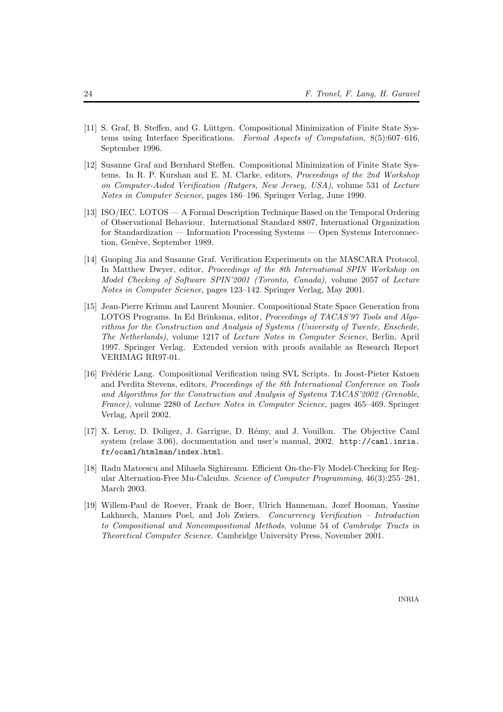- [11] S. Graf, B. Steffen, and G. Lüttgen. Compositional Minimization of Finite State Systems using Interface Specifications. Formal Aspects of Computation, 8(5):607–616, September 1996.
- [12] Susanne Graf and Bernhard Steffen. Compositional Minimization of Finite State Systems. In R. P. Kurshan and E. M. Clarke, editors, Proceedings of the 2nd Workshop on Computer-Aided Verification (Rutgers, New Jersey, USA), volume 531 of Lecture Notes in Computer Science, pages 186–196. Springer Verlag, June 1990.
- [13] ISO/IEC. LOTOS A Formal Description Technique Based on the Temporal Ordering of Observational Behaviour. International Standard 8807, International Organization for Standardization — Information Processing Systems — Open Systems Interconnection, Genève, September 1989.
- [14] Guoping Jia and Susanne Graf. Verification Experiments on the MASCARA Protocol. In Matthew Dwyer, editor, Proceedings of the 8th International SPIN Workshop on Model Checking of Software SPIN'2001 (Toronto, Canada), volume 2057 of Lecture Notes in Computer Science, pages 123–142. Springer Verlag, May 2001.
- [15] Jean-Pierre Krimm and Laurent Mounier. Compositional State Space Generation from LOTOS Programs. In Ed Brinksma, editor, Proceedings of TACAS'97 Tools and Algorithms for the Construction and Analysis of Systems (University of Twente, Enschede, The Netherlands), volume 1217 of Lecture Notes in Computer Science, Berlin, April 1997. Springer Verlag. Extended version with proofs available as Research Report VERIMAG RR97-01.
- [16] Frédéric Lang. Compositional Verification using SVL Scripts. In Joost-Pieter Katoen and Perdita Stevens, editors, Proceedings of the 8th International Conference on Tools and Algorithms for the Construction and Analysis of Systems TACAS'2002 (Grenoble, France), volume 2280 of Lecture Notes in Computer Science, pages 465–469. Springer Verlag, April 2002.
- [17] X. Leroy, D. Doligez, J. Garrigue, D. R´emy, and J. Vouillon. The Objective Caml system (relase 3.06), documentation and user's manual, 2002. http://caml.inria. fr/ocaml/htmlman/index.html.
- [18] Radu Mateescu and Mihaela Sighireanu. Efficient On-the-Fly Model-Checking for Regular Alternation-Free Mu-Calculus. Science of Computer Programming, 46(3):255–281, March 2003.
- [19] Willem-Paul de Roever, Frank de Boer, Ulrich Hanneman, Jozef Hooman, Yassine Lakhnech, Mannes Poel, and Job Zwiers. Concurrency Verification – Introduction to Compositional and Noncompositional Methods, volume 54 of Cambridge Tracts in Theoretical Computer Science. Cambridge University Press, November 2001.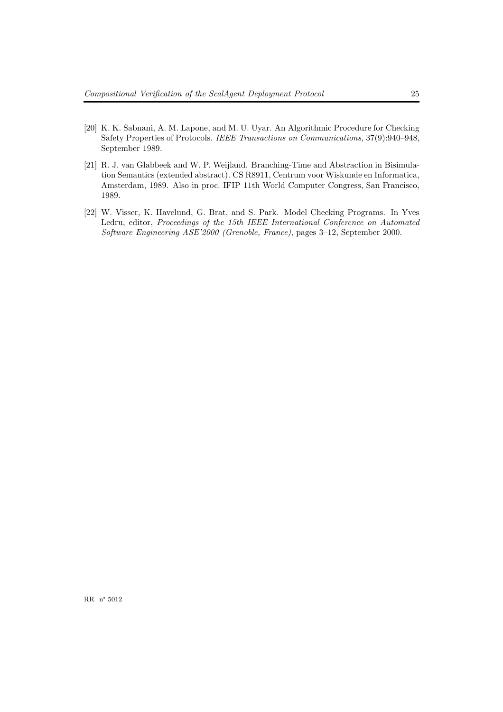- [20] K. K. Sabnani, A. M. Lapone, and M. U. Uyar. An Algorithmic Procedure for Checking Safety Properties of Protocols. IEEE Transactions on Communications, 37(9):940–948, September 1989.
- [21] R. J. van Glabbeek and W. P. Weijland. Branching-Time and Abstraction in Bisimulation Semantics (extended abstract). CS R8911, Centrum voor Wiskunde en Informatica, Amsterdam, 1989. Also in proc. IFIP 11th World Computer Congress, San Francisco, 1989.
- [22] W. Visser, K. Havelund, G. Brat, and S. Park. Model Checking Programs. In Yves Ledru, editor, Proceedings of the 15th IEEE International Conference on Automated Software Engineering ASE'2000 (Grenoble, France), pages 3–12, September 2000.